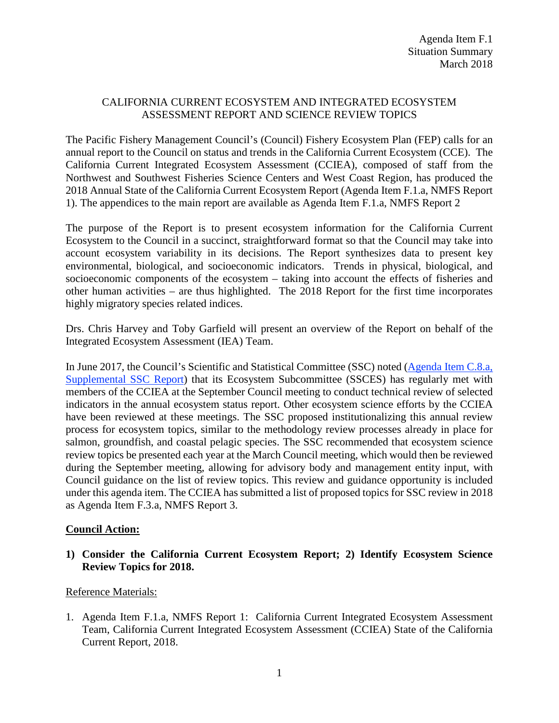# CALIFORNIA CURRENT ECOSYSTEM AND INTEGRATED ECOSYSTEM ASSESSMENT REPORT AND SCIENCE REVIEW TOPICS

The Pacific Fishery Management Council's (Council) Fishery Ecosystem Plan (FEP) calls for an annual report to the Council on status and trends in the California Current Ecosystem (CCE). The California Current Integrated Ecosystem Assessment (CCIEA), composed of staff from the Northwest and Southwest Fisheries Science Centers and West Coast Region, has produced the 2018 Annual State of the California Current Ecosystem Report (Agenda Item F.1.a, NMFS Report 1). The appendices to the main report are available as Agenda Item F.1.a, NMFS Report 2

The purpose of the Report is to present ecosystem information for the California Current Ecosystem to the Council in a succinct, straightforward format so that the Council may take into account ecosystem variability in its decisions. The Report synthesizes data to present key environmental, biological, and socioeconomic indicators. Trends in physical, biological, and socioeconomic components of the ecosystem – taking into account the effects of fisheries and other human activities – are thus highlighted. The 2018 Report for the first time incorporates highly migratory species related indices.

Drs. Chris Harvey and Toby Garfield will present an overview of the Report on behalf of the Integrated Ecosystem Assessment (IEA) Team.

In June 2017, the Council's Scientific and Statistical Committee (SSC) noted [\(Agenda Item C.8.a,](http://www.pcouncil.org/wp-content/uploads/2017/06/C8a_Sup_SSC_Rpt_Planning_Final_Jun2017BB.pdf)  [Supplemental SSC Report\)](http://www.pcouncil.org/wp-content/uploads/2017/06/C8a_Sup_SSC_Rpt_Planning_Final_Jun2017BB.pdf) that its Ecosystem Subcommittee (SSCES) has regularly met with members of the CCIEA at the September Council meeting to conduct technical review of selected indicators in the annual ecosystem status report. Other ecosystem science efforts by the CCIEA have been reviewed at these meetings. The SSC proposed institutionalizing this annual review process for ecosystem topics, similar to the methodology review processes already in place for salmon, groundfish, and coastal pelagic species. The SSC recommended that ecosystem science review topics be presented each year at the March Council meeting, which would then be reviewed during the September meeting, allowing for advisory body and management entity input, with Council guidance on the list of review topics. This review and guidance opportunity is included under this agenda item. The CCIEA has submitted a list of proposed topics for SSC review in 2018 as Agenda Item F.3.a, NMFS Report 3.

### **Council Action:**

### **1) Consider the California Current Ecosystem Report; 2) Identify Ecosystem Science Review Topics for 2018.**

### Reference Materials:

1. Agenda Item F.1.a, NMFS Report 1: California Current Integrated Ecosystem Assessment Team, California Current Integrated Ecosystem Assessment (CCIEA) State of the California Current Report, 2018.